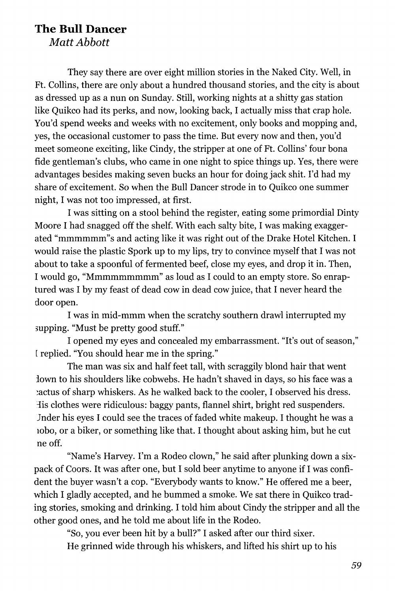## **The Bull Dancer**

*Matt Abbott* 

They say there are over eight million stories in the Naked City. Well, in Ft. Collins, there are only about a hundred thousand stories, and the city is about as dressed up as a nun on Sunday. Still, working nights at a shitty gas station like Quikco had its perks, and now, looking back, I actually miss that crap hole. You'd spend weeks and weeks with no excitement, only books and mopping and, yes, the occasional customer to pass the time. But every now and then, you'd meet someone exciting, like Cindy, the stripper at one of Ft. Collins' four bona fide gentleman's clubs, who came in one night to spice things up. Yes, there were advantages besides making seven bucks an hour for doing jack shit. I'd had my share of excitement. So when the Bull Dancer strode in to Quikco one summer night, I was not too impressed, at first.

I was sitting on a stool behind the register, eating some primordial Dinty Moore I had snagged off the shelf. With each salty bite, I was making exaggerated "mmmmmm"s and acting like it was right out of the Drake Hotel Kitchen. I would raise the plastic Spork up to my lips, try to convince myself that I was not about to take a spoonful of fermented beef, close my eyes, and drop it in. Then, I would go, "Mmmmmmmmm" as loud as I could to an empty store. So enraptured was I by my feast of dead cow in dead cow juice, that I never heard the door open.

I was in mid-mmm when the scratchy southern drawl interrupted my supping. "Must be pretty good stuff."

I opened my eyes and concealed my embarrassment. "It's out of season," [ replied. "You should hear me in the spring."

The man was six and half feet tall, with scraggily blond hair that went lown to his shoulders like cobwebs. He hadn't shaved in days, so his face was a cactus of sharp whiskers. As he walked back to the cooler, I observed his dress. lis clothes were ridiculous: baggy pants, flannel shirt, bright red suspenders. Jnder his eyes I could see the traces of faded white makeup. I thought he was a lobo, or a biker, or something like that. I thought about asking him, but he cut ne off.

"Name's Harvey. I'm a Rodeo clown," he said after plunking down a sixpack of Coors. It was after one, but I sold beer anytime to anyone if I was confident the buyer wasn't a cop. "Everybody wants to know." He offered me a beer, which I gladly accepted, and he bummed a smoke. We sat there in Ouikco trading stories, smoking and drinking. I told him about Cindy the stripper and all the other good ones, and he told me about life in the Rodeo.

"So, you ever been hit by a bull?" I asked after our third sixer. He grinned wide through his whiskers, and lifted his shirt up to his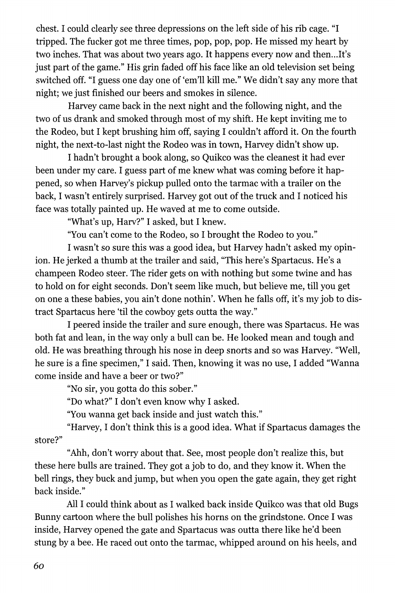chest. I could clearly see three depressions on the left side of his rib cage. "I tripped. The fucker got me three times, pop, pop, pop. He missed my heart by two inches. That was about two years ago. It happens every now and then...It's just part of the game." His grin faded off his face like an old television set being switched off. "I guess one day one of 'em'll kill me." We didn't say any more that night; we just finished our beers and smokes in silence.

Harvey came back in the next night and the following night, and the two of us drank and smoked through most of my shift. He kept inviting me to the Rodeo, but I kept brushing him off, saying I couldn't afford it. On the fourth night, the next-to-last night the Rodeo was in town, Harvey didn't show up.

I hadn't brought a book along, so Quikco was the cleanest it had ever been under my care. I guess part of me knew what was coming before it happened, so when Harvey's pickup pulled onto the tarmac with a trailer on the back, I wasn't entirely surprised. Harvey got out of the truck and I noticed his face was totally painted up. He waved at me to come outside.

"What's up, Harv?" I asked, but I knew.

"You can't come to the Rodeo, so I brought the Rodeo to you."

I wasn't so sure this was a good idea, but Harvey hadn't asked my opinion. He jerked a thumb at the trailer and said, "This here's Spartacus. He's a champeen Rodeo steer. The rider gets on with nothing but some twine and has to hold on for eight seconds. Don't seem like much, but believe me, till you get on one a these babies, you ain't done nothin'. When he falls off, it's my job to distract Spartacus here 'til the cowboy gets outta the way."

I peered inside the trailer and sure enough, there was Spartacus. He was both fat and lean, in the way only a bull can be. He looked mean and tough and old. He was breathing through his nose in deep snorts and so was Harvey. "Well, he sure is a fine specimen," I said. Then, knowing it was no use, I added "Wanna come inside and have a beer or two?"

"No sir, you gotta do this sober."

"Do what?" I don't even know why I asked.

"You wanna get back inside and just watch this."

"Harvey, I don't think this is a good idea. What if Spartacus damages the store?"

"Ahh, don't worry about that. See, most people don't realize this, but these here bulls are trained. They got a job to do, and they know it. When the bell rings, they buck and jump, but when you open the gate again, they get right back inside."

All I could think about as I walked back inside Quikco was that old Bugs Bunny cartoon where the bull polishes his horns on the grindstone. Once I was inside, Harvey opened the gate and Spartacus was outta there like he'd been stung by a bee. He raced out onto the tarmac, whipped around on his heels, and